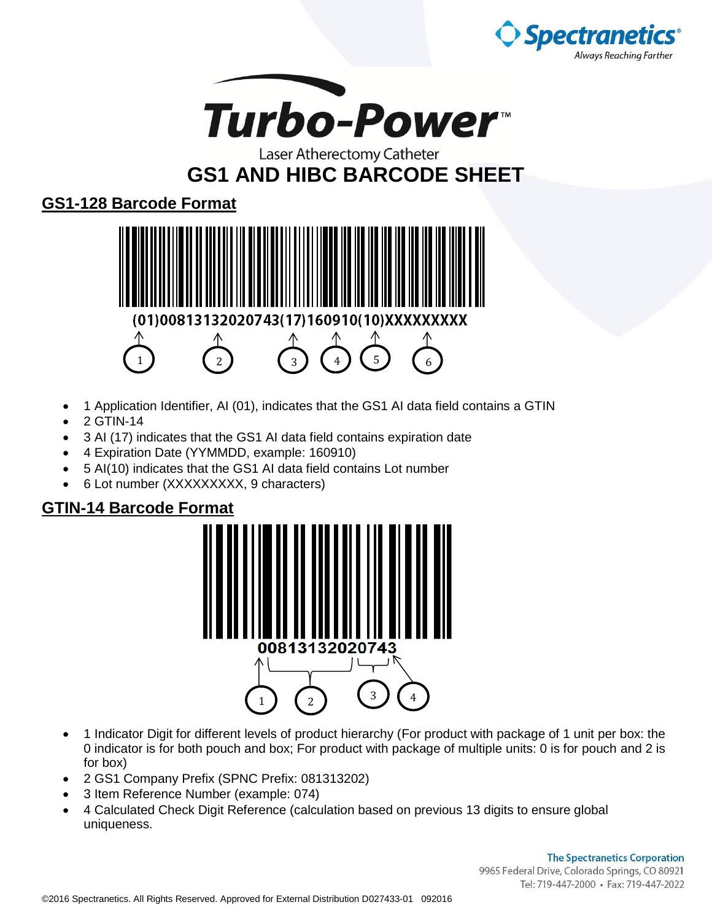



## Laser Atherectomy Catheter **GS1 AND HIBC BARCODE SHEET**

## **GS1-128 Barcode Format**



- 1 Application Identifier, AI (01), indicates that the GS1 AI data field contains a GTIN
- 2 GTIN-14
- 3 AI (17) indicates that the GS1 AI data field contains expiration date
- 4 Expiration Date (YYMMDD, example: 160910)
- 5 AI(10) indicates that the GS1 AI data field contains Lot number
- 6 Lot number (XXXXXXXXX, 9 characters)

## **GTIN-14 Barcode Format**



- 1 Indicator Digit for different levels of product hierarchy (For product with package of 1 unit per box: the 0 indicator is for both pouch and box; For product with package of multiple units: 0 is for pouch and 2 is for box)
- 2 GS1 Company Prefix (SPNC Prefix: 081313202)
- 3 Item Reference Number (example: 074)
- 4 Calculated Check Digit Reference (calculation based on previous 13 digits to ensure global uniqueness.